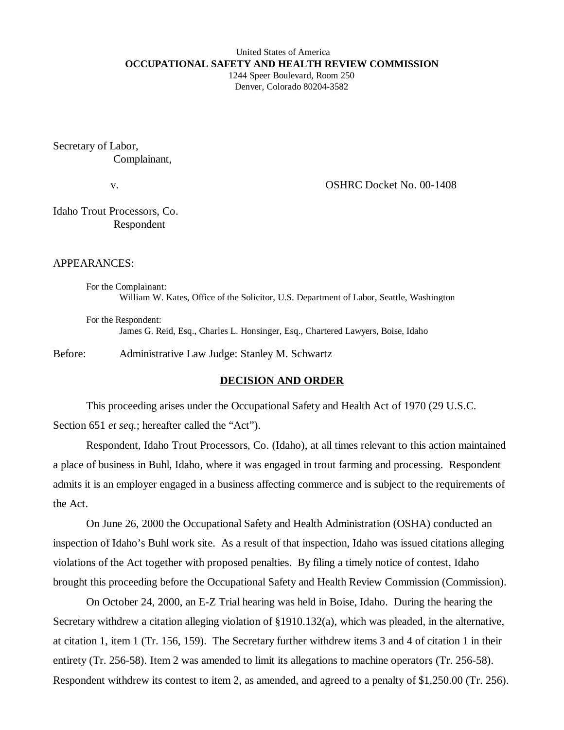#### United States of America **OCCUPATIONAL SAFETY AND HEALTH REVIEW COMMISSION** 1244 Speer Boulevard, Room 250

Denver, Colorado 80204-3582

Secretary of Labor, Complainant,

v. COSHRC Docket No. 00-1408

Idaho Trout Processors, Co. Respondent

## APPEARANCES:

For the Complainant: William W. Kates, Office of the Solicitor, U.S. Department of Labor, Seattle, Washington

For the Respondent: James G. Reid, Esq., Charles L. Honsinger, Esq., Chartered Lawyers, Boise, Idaho

Before: Administrative Law Judge: Stanley M. Schwartz

### **DECISION AND ORDER**

This proceeding arises under the Occupational Safety and Health Act of 1970 (29 U.S.C. Section 651 *et seq.*; hereafter called the "Act").

Respondent, Idaho Trout Processors, Co. (Idaho), at all times relevant to this action maintained a place of business in Buhl, Idaho, where it was engaged in trout farming and processing. Respondent admits it is an employer engaged in a business affecting commerce and is subject to the requirements of the Act.

On June 26, 2000 the Occupational Safety and Health Administration (OSHA) conducted an inspection of Idaho's Buhl work site. As a result of that inspection, Idaho was issued citations alleging violations of the Act together with proposed penalties. By filing a timely notice of contest, Idaho brought this proceeding before the Occupational Safety and Health Review Commission (Commission).

On October 24, 2000, an E-Z Trial hearing was held in Boise, Idaho. During the hearing the Secretary withdrew a citation alleging violation of §1910.132(a), which was pleaded, in the alternative, at citation 1, item 1 (Tr. 156, 159). The Secretary further withdrew items 3 and 4 of citation 1 in their entirety (Tr. 256-58). Item 2 was amended to limit its allegations to machine operators (Tr. 256-58). Respondent withdrew its contest to item 2, as amended, and agreed to a penalty of \$1,250.00 (Tr. 256).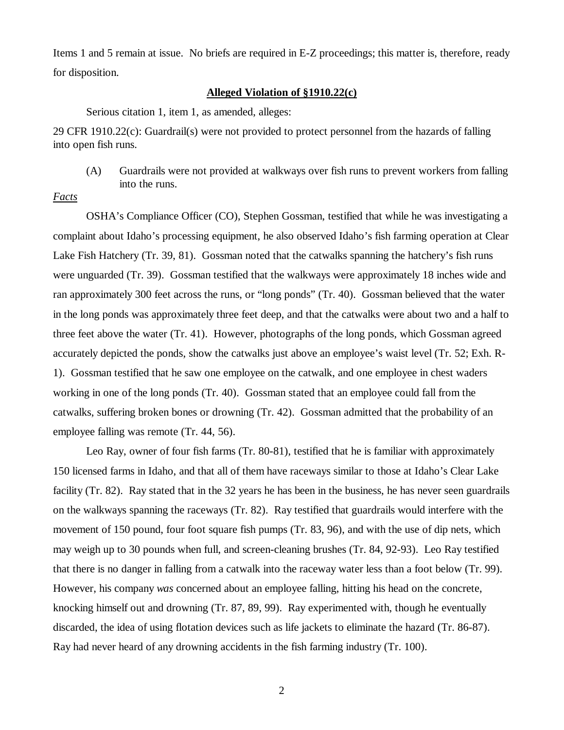Items 1 and 5 remain at issue. No briefs are required in E-Z proceedings; this matter is, therefore, ready for disposition.

### **Alleged Violation of §1910.22(c)**

Serious citation 1, item 1, as amended, alleges:

29 CFR 1910.22(c): Guardrail(s) were not provided to protect personnel from the hazards of falling into open fish runs.

(A) Guardrails were not provided at walkways over fish runs to prevent workers from falling into the runs.

*Facts*

OSHA's Compliance Officer (CO), Stephen Gossman, testified that while he was investigating a complaint about Idaho's processing equipment, he also observed Idaho's fish farming operation at Clear Lake Fish Hatchery (Tr. 39, 81). Gossman noted that the catwalks spanning the hatchery's fish runs were unguarded (Tr. 39). Gossman testified that the walkways were approximately 18 inches wide and ran approximately 300 feet across the runs, or "long ponds" (Tr. 40). Gossman believed that the water in the long ponds was approximately three feet deep, and that the catwalks were about two and a half to three feet above the water (Tr. 41). However, photographs of the long ponds, which Gossman agreed accurately depicted the ponds, show the catwalks just above an employee's waist level (Tr. 52; Exh. R-1). Gossman testified that he saw one employee on the catwalk, and one employee in chest waders working in one of the long ponds (Tr. 40). Gossman stated that an employee could fall from the catwalks, suffering broken bones or drowning (Tr. 42). Gossman admitted that the probability of an employee falling was remote (Tr. 44, 56).

Leo Ray, owner of four fish farms (Tr. 80-81), testified that he is familiar with approximately 150 licensed farms in Idaho, and that all of them have raceways similar to those at Idaho's Clear Lake facility (Tr. 82). Ray stated that in the 32 years he has been in the business, he has never seen guardrails on the walkways spanning the raceways (Tr. 82). Ray testified that guardrails would interfere with the movement of 150 pound, four foot square fish pumps (Tr. 83, 96), and with the use of dip nets, which may weigh up to 30 pounds when full, and screen-cleaning brushes (Tr. 84, 92-93). Leo Ray testified that there is no danger in falling from a catwalk into the raceway water less than a foot below (Tr. 99). However, his company *was* concerned about an employee falling, hitting his head on the concrete, knocking himself out and drowning (Tr. 87, 89, 99). Ray experimented with, though he eventually discarded, the idea of using flotation devices such as life jackets to eliminate the hazard (Tr. 86-87). Ray had never heard of any drowning accidents in the fish farming industry (Tr. 100).

2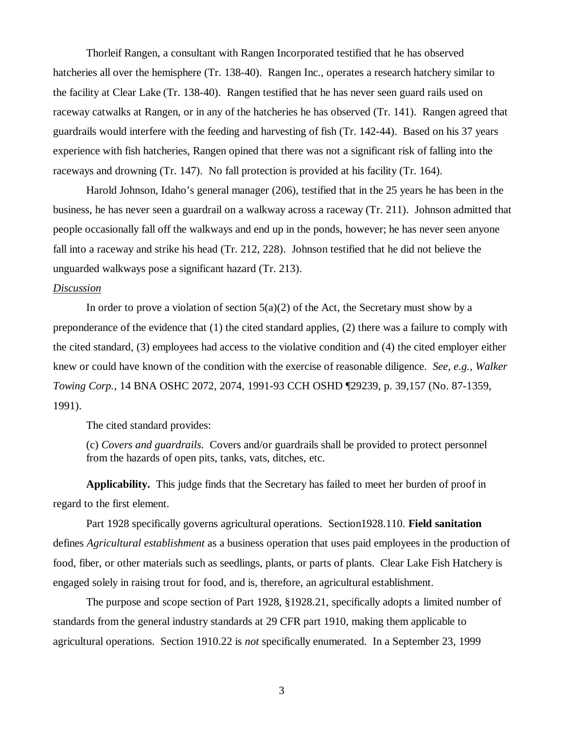Thorleif Rangen, a consultant with Rangen Incorporated testified that he has observed hatcheries all over the hemisphere (Tr. 138-40). Rangen Inc., operates a research hatchery similar to the facility at Clear Lake (Tr. 138-40). Rangen testified that he has never seen guard rails used on raceway catwalks at Rangen, or in any of the hatcheries he has observed (Tr. 141). Rangen agreed that guardrails would interfere with the feeding and harvesting of fish (Tr. 142-44). Based on his 37 years experience with fish hatcheries, Rangen opined that there was not a significant risk of falling into the raceways and drowning (Tr. 147). No fall protection is provided at his facility (Tr. 164).

Harold Johnson, Idaho's general manager (206), testified that in the 25 years he has been in the business, he has never seen a guardrail on a walkway across a raceway (Tr. 211). Johnson admitted that people occasionally fall off the walkways and end up in the ponds, however; he has never seen anyone fall into a raceway and strike his head (Tr. 212, 228). Johnson testified that he did not believe the unguarded walkways pose a significant hazard (Tr. 213).

## *Discussion*

In order to prove a violation of section  $5(a)(2)$  of the Act, the Secretary must show by a preponderance of the evidence that (1) the cited standard applies, (2) there was a failure to comply with the cited standard, (3) employees had access to the violative condition and (4) the cited employer either knew or could have known of the condition with the exercise of reasonable diligence. *See, e.g., Walker Towing Corp.*, 14 BNA OSHC 2072, 2074, 1991-93 CCH OSHD ¶29239, p. 39,157 (No. 87-1359, 1991).

The cited standard provides:

(c) *Covers and guardrails*. Covers and/or guardrails shall be provided to protect personnel from the hazards of open pits, tanks, vats, ditches, etc.

**Applicability.** This judge finds that the Secretary has failed to meet her burden of proof in regard to the first element.

Part 1928 specifically governs agricultural operations. Section1928.110. **Field sanitation** defines *Agricultural establishment* as a business operation that uses paid employees in the production of food, fiber, or other materials such as seedlings, plants, or parts of plants. Clear Lake Fish Hatchery is engaged solely in raising trout for food, and is, therefore, an agricultural establishment.

The purpose and scope section of Part 1928, §1928.21, specifically adopts a limited number of standards from the general industry standards at 29 CFR part 1910, making them applicable to agricultural operations. Section 1910.22 is *not* specifically enumerated. In a September 23, 1999

3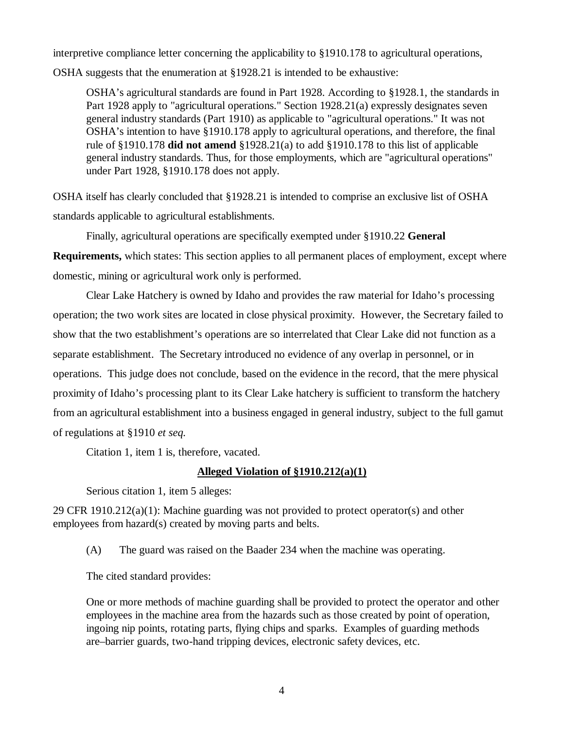interpretive compliance letter concerning the applicability to §1910.178 to agricultural operations,

OSHA suggests that the enumeration at §1928.21 is intended to be exhaustive:

OSHA's agricultural standards are found in Part 1928. According to §1928.1, the standards in Part 1928 apply to "agricultural operations." Section 1928.21(a) expressly designates seven general industry standards (Part 1910) as applicable to "agricultural operations." It was not OSHA's intention to have §1910.178 apply to agricultural operations, and therefore, the final rule of §1910.178 **did not amend** §1928.21(a) to add §1910.178 to this list of applicable general industry standards. Thus, for those employments, which are "agricultural operations" under Part 1928, §1910.178 does not apply.

OSHA itself has clearly concluded that §1928.21 is intended to comprise an exclusive list of OSHA standards applicable to agricultural establishments.

Finally, agricultural operations are specifically exempted under §1910.22 **General Requirements,** which states: This section applies to all permanent places of employment, except where domestic, mining or agricultural work only is performed.

Clear Lake Hatchery is owned by Idaho and provides the raw material for Idaho's processing operation; the two work sites are located in close physical proximity. However, the Secretary failed to show that the two establishment's operations are so interrelated that Clear Lake did not function as a separate establishment. The Secretary introduced no evidence of any overlap in personnel, or in operations. This judge does not conclude, based on the evidence in the record, that the mere physical proximity of Idaho's processing plant to its Clear Lake hatchery is sufficient to transform the hatchery from an agricultural establishment into a business engaged in general industry, subject to the full gamut of regulations at §1910 *et seq.*

Citation 1, item 1 is, therefore, vacated.

# **Alleged Violation of §1910.212(a)(1)**

Serious citation 1, item 5 alleges:

29 CFR 1910.212(a)(1): Machine guarding was not provided to protect operator(s) and other employees from hazard(s) created by moving parts and belts.

(A) The guard was raised on the Baader 234 when the machine was operating.

The cited standard provides:

One or more methods of machine guarding shall be provided to protect the operator and other employees in the machine area from the hazards such as those created by point of operation, ingoing nip points, rotating parts, flying chips and sparks. Examples of guarding methods are–barrier guards, two-hand tripping devices, electronic safety devices, etc.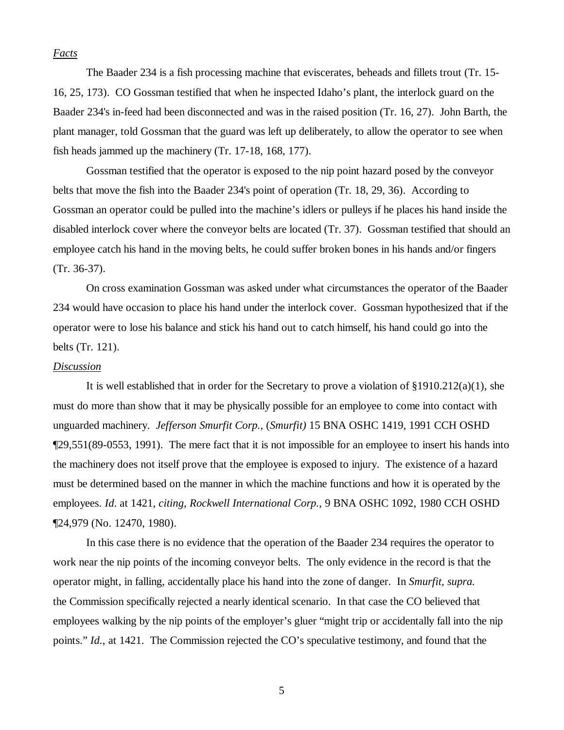## *Facts*

The Baader 234 is a fish processing machine that eviscerates, beheads and fillets trout (Tr. 15- 16, 25, 173). CO Gossman testified that when he inspected Idaho's plant, the interlock guard on the Baader 234's in-feed had been disconnected and was in the raised position (Tr. 16, 27). John Barth, the plant manager, told Gossman that the guard was left up deliberately, to allow the operator to see when fish heads jammed up the machinery (Tr. 17-18, 168, 177).

Gossman testified that the operator is exposed to the nip point hazard posed by the conveyor belts that move the fish into the Baader 234's point of operation (Tr. 18, 29, 36). According to Gossman an operator could be pulled into the machine's idlers or pulleys if he places his hand inside the disabled interlock cover where the conveyor belts are located (Tr. 37). Gossman testified that should an employee catch his hand in the moving belts, he could suffer broken bones in his hands and/or fingers (Tr. 36-37).

On cross examination Gossman was asked under what circumstances the operator of the Baader 234 would have occasion to place his hand under the interlock cover. Gossman hypothesized that if the operator were to lose his balance and stick his hand out to catch himself, his hand could go into the belts (Tr. 121).

### *Discussion*

It is well established that in order for the Secretary to prove a violation of  $\S 1910.212(a)(1)$ , she must do more than show that it may be physically possible for an employee to come into contact with unguarded machinery. *Jefferson Smurfit Corp.*, (*Smurfit)* 15 BNA OSHC 1419, 1991 CCH OSHD ¶29,551(89-0553, 1991). The mere fact that it is not impossible for an employee to insert his hands into the machinery does not itself prove that the employee is exposed to injury. The existence of a hazard must be determined based on the manner in which the machine functions and how it is operated by the employees. *Id*. at 1421, *citing, Rockwell International Corp.,* 9 BNA OSHC 1092, 1980 CCH OSHD ¶24,979 (No. 12470, 1980).

In this case there is no evidence that the operation of the Baader 234 requires the operator to work near the nip points of the incoming conveyor belts. The only evidence in the record is that the operator might, in falling, accidentally place his hand into the zone of danger. In *Smurfit, supra.* the Commission specifically rejected a nearly identical scenario. In that case the CO believed that employees walking by the nip points of the employer's gluer "might trip or accidentally fall into the nip points." *Id.*, at 1421. The Commission rejected the CO's speculative testimony, and found that the

5